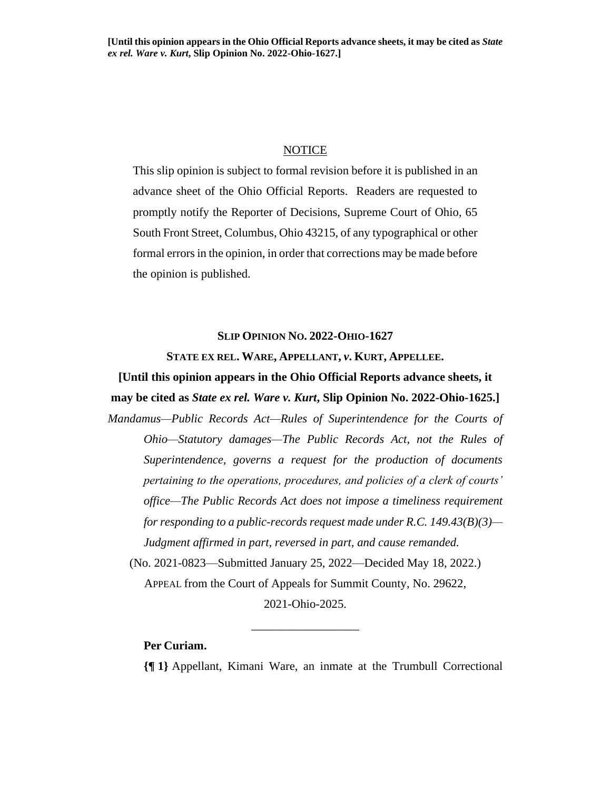#### NOTICE

This slip opinion is subject to formal revision before it is published in an advance sheet of the Ohio Official Reports. Readers are requested to promptly notify the Reporter of Decisions, Supreme Court of Ohio, 65 South Front Street, Columbus, Ohio 43215, of any typographical or other formal errors in the opinion, in order that corrections may be made before the opinion is published.

#### **SLIP OPINION NO. 2022-OHIO-1627**

#### **STATE EX REL. WARE, APPELLANT,** *v***. KURT, APPELLEE.**

**[Until this opinion appears in the Ohio Official Reports advance sheets, it may be cited as** *State ex rel. Ware v. Kurt***, Slip Opinion No. 2022-Ohio-1625.]**

*Mandamus—Public Records Act—Rules of Superintendence for the Courts of Ohio—Statutory damages—The Public Records Act, not the Rules of Superintendence, governs a request for the production of documents pertaining to the operations, procedures, and policies of a clerk of courts' office—The Public Records Act does not impose a timeliness requirement for responding to a public-records request made under R.C. 149.43(B)(3)— Judgment affirmed in part, reversed in part, and cause remanded.* (No. 2021-0823—Submitted January 25, 2022—Decided May 18, 2022.)

APPEAL from the Court of Appeals for Summit County, No. 29622,

2021-Ohio-2025.

\_\_\_\_\_\_\_\_\_\_\_\_\_\_\_\_\_\_

#### **Per Curiam.**

**{¶ 1}** Appellant, Kimani Ware, an inmate at the Trumbull Correctional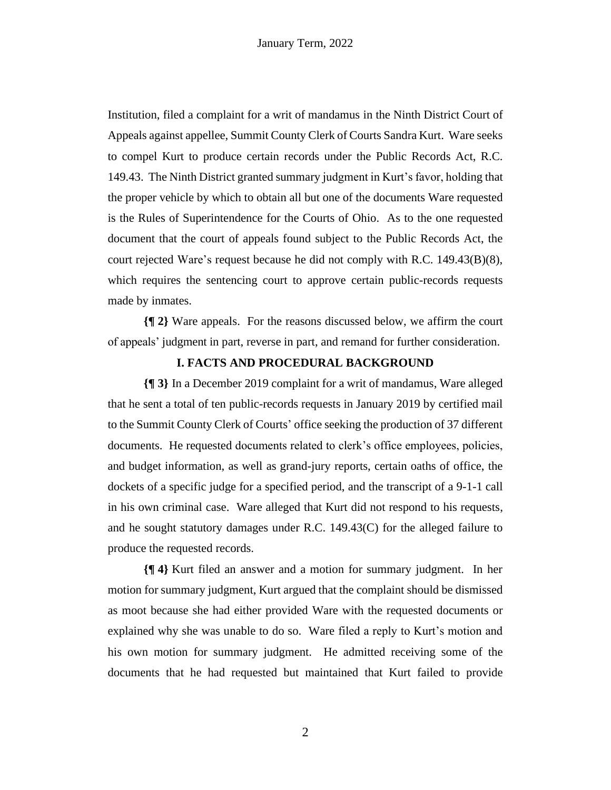Institution, filed a complaint for a writ of mandamus in the Ninth District Court of Appeals against appellee, Summit County Clerk of Courts Sandra Kurt. Ware seeks to compel Kurt to produce certain records under the Public Records Act, R.C. 149.43. The Ninth District granted summary judgment in Kurt's favor, holding that the proper vehicle by which to obtain all but one of the documents Ware requested is the Rules of Superintendence for the Courts of Ohio. As to the one requested document that the court of appeals found subject to the Public Records Act, the court rejected Ware's request because he did not comply with R.C. 149.43(B)(8), which requires the sentencing court to approve certain public-records requests made by inmates.

**{¶ 2}** Ware appeals. For the reasons discussed below, we affirm the court of appeals' judgment in part, reverse in part, and remand for further consideration.

#### **I. FACTS AND PROCEDURAL BACKGROUND**

**{¶ 3}** In a December 2019 complaint for a writ of mandamus, Ware alleged that he sent a total of ten public-records requests in January 2019 by certified mail to the Summit County Clerk of Courts' office seeking the production of 37 different documents. He requested documents related to clerk's office employees, policies, and budget information, as well as grand-jury reports, certain oaths of office, the dockets of a specific judge for a specified period, and the transcript of a 9-1-1 call in his own criminal case. Ware alleged that Kurt did not respond to his requests, and he sought statutory damages under R.C. 149.43(C) for the alleged failure to produce the requested records.

**{¶ 4}** Kurt filed an answer and a motion for summary judgment. In her motion for summary judgment, Kurt argued that the complaint should be dismissed as moot because she had either provided Ware with the requested documents or explained why she was unable to do so. Ware filed a reply to Kurt's motion and his own motion for summary judgment. He admitted receiving some of the documents that he had requested but maintained that Kurt failed to provide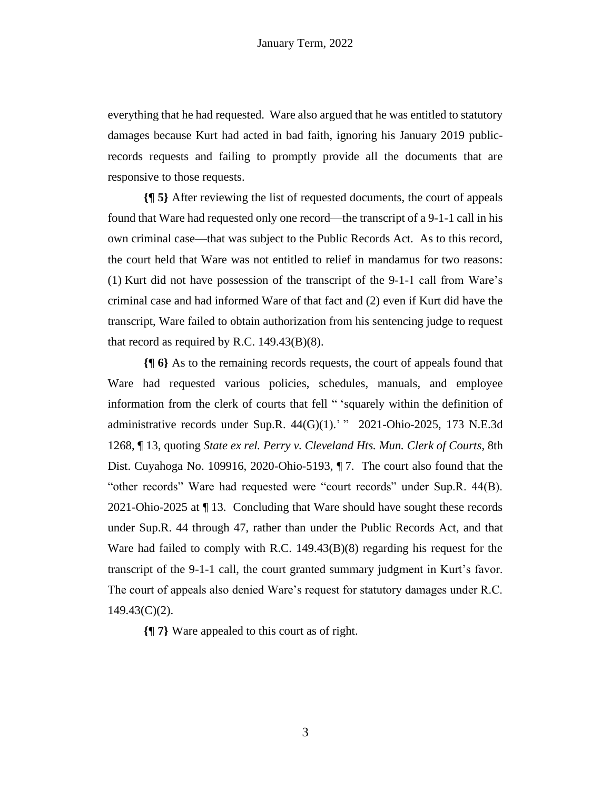everything that he had requested. Ware also argued that he was entitled to statutory damages because Kurt had acted in bad faith, ignoring his January 2019 publicrecords requests and failing to promptly provide all the documents that are responsive to those requests.

**{¶ 5}** After reviewing the list of requested documents, the court of appeals found that Ware had requested only one record—the transcript of a 9-1-1 call in his own criminal case—that was subject to the Public Records Act. As to this record, the court held that Ware was not entitled to relief in mandamus for two reasons: (1) Kurt did not have possession of the transcript of the 9-1-1 call from Ware's criminal case and had informed Ware of that fact and (2) even if Kurt did have the transcript, Ware failed to obtain authorization from his sentencing judge to request that record as required by R.C. 149.43(B)(8).

**{¶ 6}** As to the remaining records requests, the court of appeals found that Ware had requested various policies, schedules, manuals, and employee information from the clerk of courts that fell " 'squarely within the definition of administrative records under Sup.R.  $44(G)(1)$ .' " 2021-Ohio-2025, 173 N.E.3d 1268, ¶ 13, quoting *State ex rel. Perry v. Cleveland Hts. Mun. Clerk of Courts*, 8th Dist. Cuyahoga No. 109916, 2020-Ohio-5193, ¶ 7. The court also found that the "other records" Ware had requested were "court records" under Sup.R. 44(B). 2021-Ohio-2025 at ¶ 13. Concluding that Ware should have sought these records under Sup.R. 44 through 47, rather than under the Public Records Act, and that Ware had failed to comply with R.C. 149.43(B)(8) regarding his request for the transcript of the 9-1-1 call, the court granted summary judgment in Kurt's favor. The court of appeals also denied Ware's request for statutory damages under R.C. 149.43(C)(2).

**{¶ 7}** Ware appealed to this court as of right.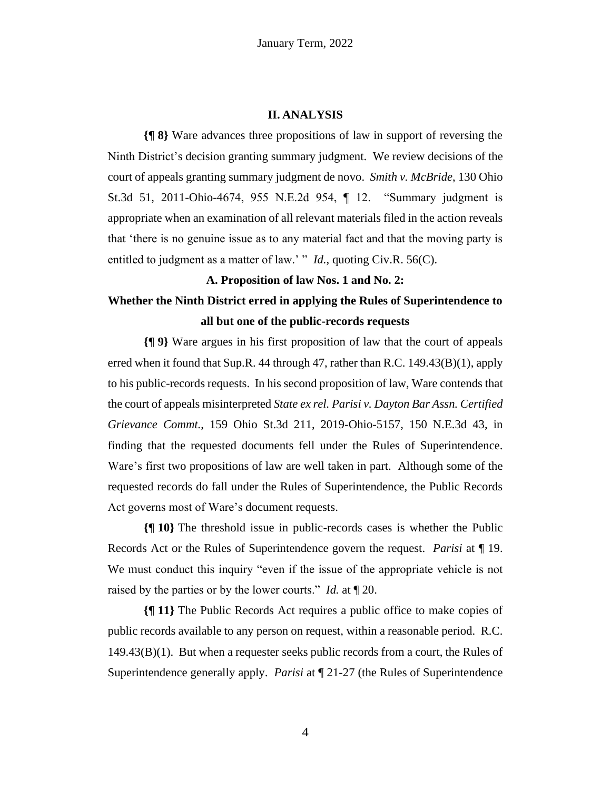#### **II. ANALYSIS**

**{¶ 8}** Ware advances three propositions of law in support of reversing the Ninth District's decision granting summary judgment. We review decisions of the court of appeals granting summary judgment de novo. *Smith v. McBride*, 130 Ohio St.3d 51, 2011-Ohio-4674, 955 N.E.2d 954, ¶ 12. "Summary judgment is appropriate when an examination of all relevant materials filed in the action reveals that 'there is no genuine issue as to any material fact and that the moving party is entitled to judgment as a matter of law.' " *Id.*, quoting Civ.R. 56(C).

### **A. Proposition of law Nos. 1 and No. 2:**

## **Whether the Ninth District erred in applying the Rules of Superintendence to all but one of the public-records requests**

**{¶ 9}** Ware argues in his first proposition of law that the court of appeals erred when it found that Sup.R. 44 through 47, rather than R.C. 149.43(B)(1), apply to his public-records requests. In his second proposition of law, Ware contends that the court of appeals misinterpreted *State ex rel. Parisi v. Dayton Bar Assn. Certified Grievance Commt.*, 159 Ohio St.3d 211, 2019-Ohio-5157, 150 N.E.3d 43, in finding that the requested documents fell under the Rules of Superintendence. Ware's first two propositions of law are well taken in part. Although some of the requested records do fall under the Rules of Superintendence, the Public Records Act governs most of Ware's document requests.

**{¶ 10}** The threshold issue in public-records cases is whether the Public Records Act or the Rules of Superintendence govern the request. *Parisi* at ¶ 19. We must conduct this inquiry "even if the issue of the appropriate vehicle is not raised by the parties or by the lower courts." *Id.* at ¶ 20.

**{¶ 11}** The Public Records Act requires a public office to make copies of public records available to any person on request, within a reasonable period. R.C. 149.43(B)(1). But when a requester seeks public records from a court, the Rules of Superintendence generally apply. *Parisi* at ¶ 21-27 (the Rules of Superintendence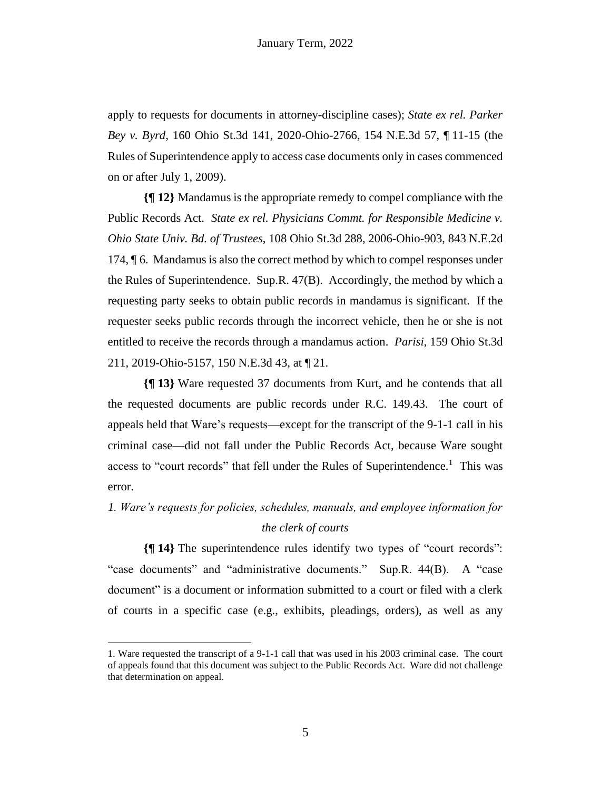apply to requests for documents in attorney-discipline cases); *State ex rel. Parker Bey v. Byrd*, 160 Ohio St.3d 141, 2020-Ohio-2766, 154 N.E.3d 57, ¶ 11-15 (the Rules of Superintendence apply to access case documents only in cases commenced on or after July 1, 2009).

**{¶ 12}** Mandamus is the appropriate remedy to compel compliance with the Public Records Act. *State ex rel. Physicians Commt. for Responsible Medicine v. Ohio State Univ. Bd. of Trustees*, 108 Ohio St.3d 288, 2006-Ohio-903, 843 N.E.2d 174, ¶ 6. Mandamus is also the correct method by which to compel responses under the Rules of Superintendence. Sup.R. 47(B). Accordingly, the method by which a requesting party seeks to obtain public records in mandamus is significant. If the requester seeks public records through the incorrect vehicle, then he or she is not entitled to receive the records through a mandamus action. *Parisi*, 159 Ohio St.3d 211, 2019-Ohio-5157, 150 N.E.3d 43, at ¶ 21.

**{¶ 13}** Ware requested 37 documents from Kurt, and he contends that all the requested documents are public records under R.C. 149.43. The court of appeals held that Ware's requests—except for the transcript of the 9-1-1 call in his criminal case—did not fall under the Public Records Act, because Ware sought access to "court records" that fell under the Rules of Superintendence.<sup>1</sup> This was error.

## *1. Ware's requests for policies, schedules, manuals, and employee information for the clerk of courts*

**{¶ 14}** The superintendence rules identify two types of "court records": "case documents" and "administrative documents." Sup.R. 44(B). A "case document" is a document or information submitted to a court or filed with a clerk of courts in a specific case (e.g., exhibits, pleadings, orders), as well as any

<sup>1.</sup> Ware requested the transcript of a 9-1-1 call that was used in his 2003 criminal case. The court of appeals found that this document was subject to the Public Records Act. Ware did not challenge that determination on appeal.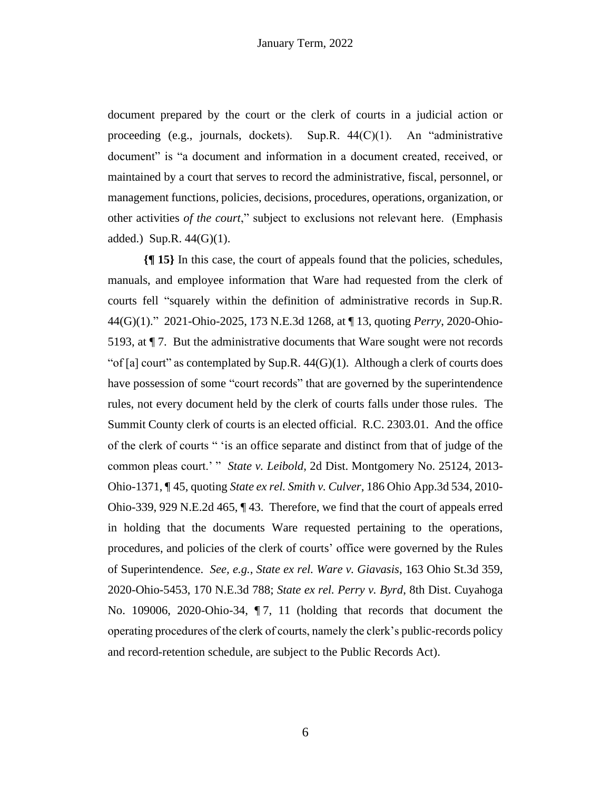document prepared by the court or the clerk of courts in a judicial action or proceeding (e.g., journals, dockets). Sup.R. 44(C)(1). An "administrative document" is "a document and information in a document created, received, or maintained by a court that serves to record the administrative, fiscal, personnel, or management functions, policies, decisions, procedures, operations, organization, or other activities *of the court*," subject to exclusions not relevant here. (Emphasis added.) Sup.R.  $44(G)(1)$ .

**{¶ 15}** In this case, the court of appeals found that the policies, schedules, manuals, and employee information that Ware had requested from the clerk of courts fell "squarely within the definition of administrative records in Sup.R. 44(G)(1)." 2021-Ohio-2025, 173 N.E.3d 1268, at ¶ 13, quoting *Perry*, 2020-Ohio-5193, at ¶ 7. But the administrative documents that Ware sought were not records "of [a] court" as contemplated by Sup.R.  $44(G)(1)$ . Although a clerk of courts does have possession of some "court records" that are governed by the superintendence rules, not every document held by the clerk of courts falls under those rules. The Summit County clerk of courts is an elected official. R.C. 2303.01. And the office of the clerk of courts " 'is an office separate and distinct from that of judge of the common pleas court.' " *State v. Leibold*, 2d Dist. Montgomery No. 25124, 2013- Ohio-1371, ¶ 45, quoting *State ex rel. Smith v. Culver*, 186 Ohio App.3d 534, 2010- Ohio-339, 929 N.E.2d 465, ¶ 43. Therefore, we find that the court of appeals erred in holding that the documents Ware requested pertaining to the operations, procedures, and policies of the clerk of courts' office were governed by the Rules of Superintendence. *See, e.g.*, *State ex rel. Ware v. Giavasis*, 163 Ohio St.3d 359, 2020-Ohio-5453, 170 N.E.3d 788; *State ex rel. Perry v. Byrd*, 8th Dist. Cuyahoga No. 109006, 2020-Ohio-34, ¶ 7, 11 (holding that records that document the operating procedures of the clerk of courts, namely the clerk's public-records policy and record-retention schedule, are subject to the Public Records Act).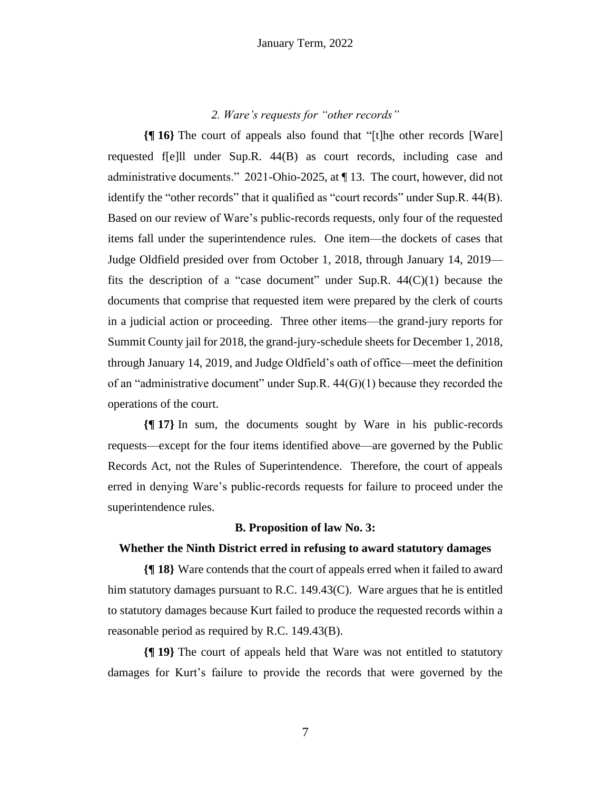#### *2. Ware's requests for "other records"*

**{¶ 16}** The court of appeals also found that "[t]he other records [Ware] requested f[e]ll under Sup.R. 44(B) as court records, including case and administrative documents." 2021-Ohio-2025, at ¶ 13. The court, however, did not identify the "other records" that it qualified as "court records" under Sup.R. 44(B). Based on our review of Ware's public-records requests, only four of the requested items fall under the superintendence rules. One item—the dockets of cases that Judge Oldfield presided over from October 1, 2018, through January 14, 2019 fits the description of a "case document" under Sup.R.  $44(C)(1)$  because the documents that comprise that requested item were prepared by the clerk of courts in a judicial action or proceeding. Three other items—the grand-jury reports for Summit County jail for 2018, the grand-jury-schedule sheets for December 1, 2018, through January 14, 2019, and Judge Oldfield's oath of office—meet the definition of an "administrative document" under Sup.R. 44(G)(1) because they recorded the operations of the court.

**{¶ 17}** In sum, the documents sought by Ware in his public-records requests—except for the four items identified above—are governed by the Public Records Act, not the Rules of Superintendence. Therefore, the court of appeals erred in denying Ware's public-records requests for failure to proceed under the superintendence rules.

#### **B. Proposition of law No. 3:**

#### **Whether the Ninth District erred in refusing to award statutory damages**

**{¶ 18}** Ware contends that the court of appeals erred when it failed to award him statutory damages pursuant to R.C.  $149.43(C)$ . Ware argues that he is entitled to statutory damages because Kurt failed to produce the requested records within a reasonable period as required by R.C. 149.43(B).

**{¶ 19}** The court of appeals held that Ware was not entitled to statutory damages for Kurt's failure to provide the records that were governed by the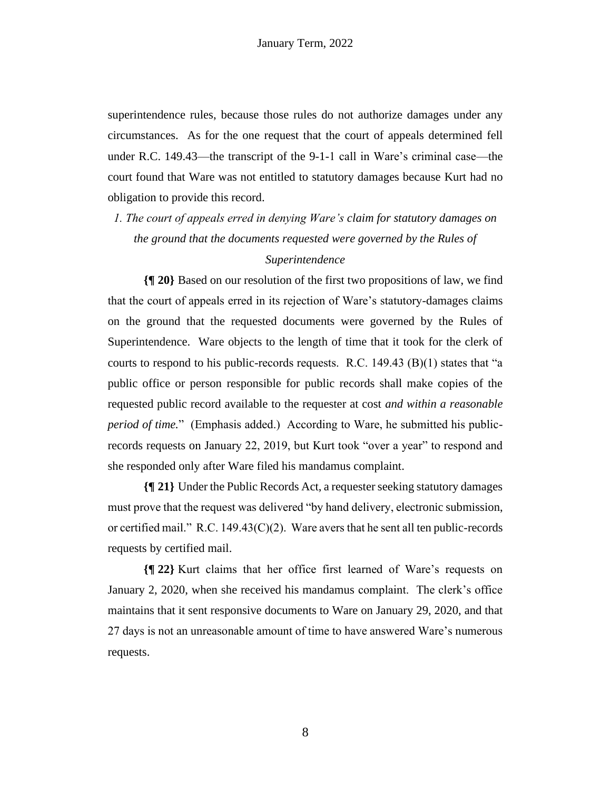superintendence rules, because those rules do not authorize damages under any circumstances. As for the one request that the court of appeals determined fell under R.C. 149.43—the transcript of the 9-1-1 call in Ware's criminal case—the court found that Ware was not entitled to statutory damages because Kurt had no obligation to provide this record.

*1. The court of appeals erred in denying Ware's claim for statutory damages on the ground that the documents requested were governed by the Rules of* 

#### *Superintendence*

**{¶ 20}** Based on our resolution of the first two propositions of law, we find that the court of appeals erred in its rejection of Ware's statutory-damages claims on the ground that the requested documents were governed by the Rules of Superintendence. Ware objects to the length of time that it took for the clerk of courts to respond to his public-records requests. R.C.  $149.43$  (B)(1) states that "a public office or person responsible for public records shall make copies of the requested public record available to the requester at cost *and within a reasonable period of time.*" (Emphasis added.) According to Ware, he submitted his publicrecords requests on January 22, 2019, but Kurt took "over a year" to respond and she responded only after Ware filed his mandamus complaint.

**{¶ 21}** Under the Public Records Act, a requester seeking statutory damages must prove that the request was delivered "by hand delivery, electronic submission, or certified mail." R.C. 149.43 $(C)(2)$ . Ware avers that he sent all ten public-records requests by certified mail.

**{¶ 22}** Kurt claims that her office first learned of Ware's requests on January 2, 2020, when she received his mandamus complaint. The clerk's office maintains that it sent responsive documents to Ware on January 29, 2020, and that 27 days is not an unreasonable amount of time to have answered Ware's numerous requests.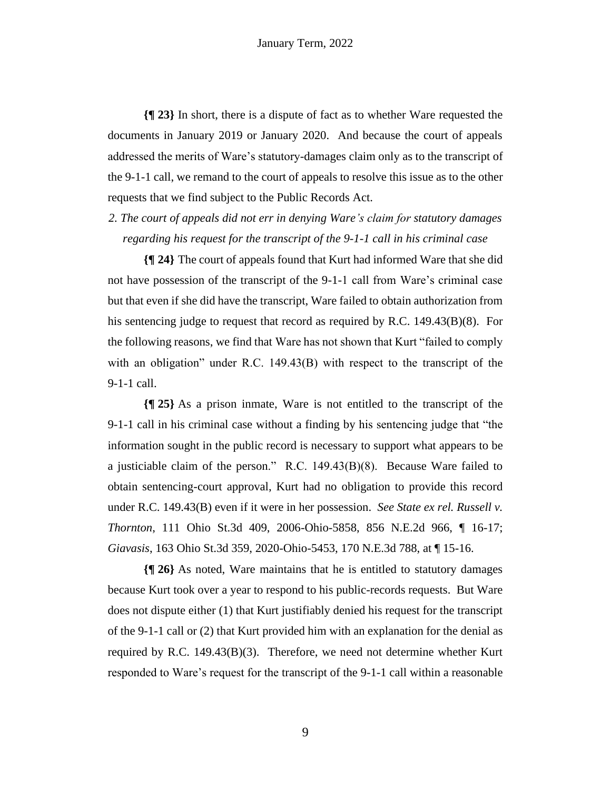**{¶ 23}** In short, there is a dispute of fact as to whether Ware requested the documents in January 2019 or January 2020. And because the court of appeals addressed the merits of Ware's statutory-damages claim only as to the transcript of the 9-1-1 call, we remand to the court of appeals to resolve this issue as to the other requests that we find subject to the Public Records Act.

*2. The court of appeals did not err in denying Ware's claim for statutory damages regarding his request for the transcript of the 9-1-1 call in his criminal case*

**{¶ 24}** The court of appeals found that Kurt had informed Ware that she did not have possession of the transcript of the 9-1-1 call from Ware's criminal case but that even if she did have the transcript, Ware failed to obtain authorization from his sentencing judge to request that record as required by R.C. 149.43(B)(8). For the following reasons, we find that Ware has not shown that Kurt "failed to comply with an obligation" under R.C. 149.43(B) with respect to the transcript of the 9-1-1 call.

**{¶ 25}** As a prison inmate, Ware is not entitled to the transcript of the 9-1-1 call in his criminal case without a finding by his sentencing judge that "the information sought in the public record is necessary to support what appears to be a justiciable claim of the person." R.C. 149.43(B)(8). Because Ware failed to obtain sentencing-court approval, Kurt had no obligation to provide this record under R.C. 149.43(B) even if it were in her possession. *See State ex rel. Russell v. Thornton*, 111 Ohio St.3d 409, 2006-Ohio-5858, 856 N.E.2d 966, ¶ 16-17; *Giavasis*, 163 Ohio St.3d 359, 2020-Ohio-5453, 170 N.E.3d 788, at ¶ 15-16.

**{¶ 26}** As noted, Ware maintains that he is entitled to statutory damages because Kurt took over a year to respond to his public-records requests. But Ware does not dispute either (1) that Kurt justifiably denied his request for the transcript of the 9-1-1 call or (2) that Kurt provided him with an explanation for the denial as required by R.C.  $149.43(B)(3)$ . Therefore, we need not determine whether Kurt responded to Ware's request for the transcript of the 9-1-1 call within a reasonable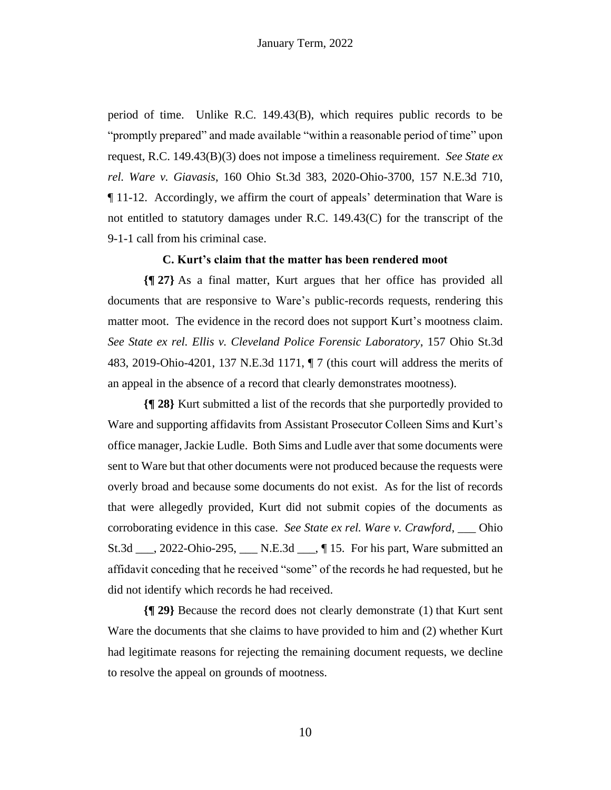period of time. Unlike R.C. 149.43(B), which requires public records to be "promptly prepared" and made available "within a reasonable period of time" upon request, R.C. 149.43(B)(3) does not impose a timeliness requirement. *See State ex rel. Ware v. Giavasis*, 160 Ohio St.3d 383, 2020-Ohio-3700, 157 N.E.3d 710, ¶ 11-12. Accordingly, we affirm the court of appeals' determination that Ware is not entitled to statutory damages under R.C. 149.43(C) for the transcript of the 9-1-1 call from his criminal case.

#### **C. Kurt's claim that the matter has been rendered moot**

**{¶ 27}** As a final matter, Kurt argues that her office has provided all documents that are responsive to Ware's public-records requests, rendering this matter moot. The evidence in the record does not support Kurt's mootness claim. *See State ex rel. Ellis v. Cleveland Police Forensic Laboratory*, 157 Ohio St.3d 483, 2019-Ohio-4201, 137 N.E.3d 1171, ¶ 7 (this court will address the merits of an appeal in the absence of a record that clearly demonstrates mootness).

**{¶ 28}** Kurt submitted a list of the records that she purportedly provided to Ware and supporting affidavits from Assistant Prosecutor Colleen Sims and Kurt's office manager, Jackie Ludle. Both Sims and Ludle aver that some documents were sent to Ware but that other documents were not produced because the requests were overly broad and because some documents do not exist. As for the list of records that were allegedly provided, Kurt did not submit copies of the documents as corroborating evidence in this case. *See State ex rel. Ware v. Crawford*, \_\_\_ Ohio St.3d \_\_\_, 2022-Ohio-295, \_\_\_ N.E.3d \_\_\_, ¶ 15. For his part, Ware submitted an affidavit conceding that he received "some" of the records he had requested, but he did not identify which records he had received.

**{¶ 29}** Because the record does not clearly demonstrate (1) that Kurt sent Ware the documents that she claims to have provided to him and (2) whether Kurt had legitimate reasons for rejecting the remaining document requests, we decline to resolve the appeal on grounds of mootness.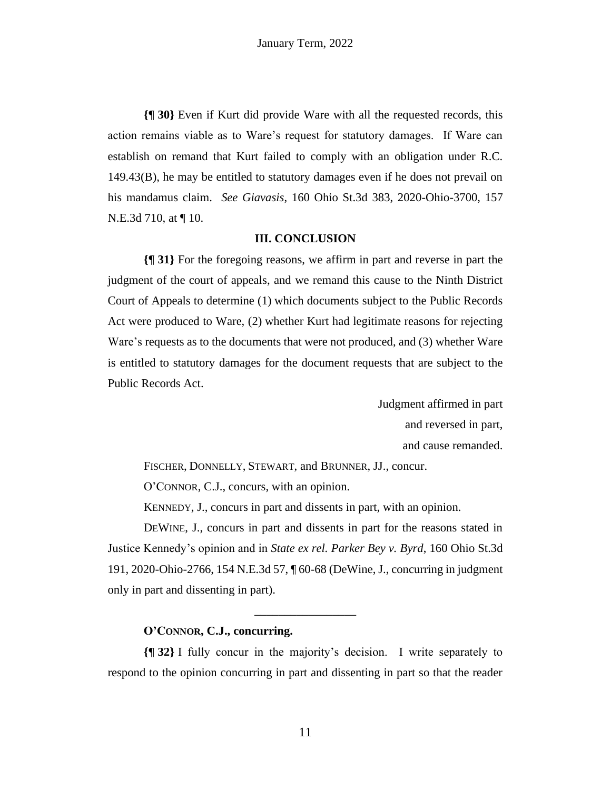**{¶ 30}** Even if Kurt did provide Ware with all the requested records, this action remains viable as to Ware's request for statutory damages. If Ware can establish on remand that Kurt failed to comply with an obligation under R.C. 149.43(B), he may be entitled to statutory damages even if he does not prevail on his mandamus claim. *See Giavasis*, 160 Ohio St.3d 383, 2020-Ohio-3700, 157 N.E.3d 710, at ¶ 10.

#### **III. CONCLUSION**

**{¶ 31}** For the foregoing reasons, we affirm in part and reverse in part the judgment of the court of appeals, and we remand this cause to the Ninth District Court of Appeals to determine (1) which documents subject to the Public Records Act were produced to Ware, (2) whether Kurt had legitimate reasons for rejecting Ware's requests as to the documents that were not produced, and (3) whether Ware is entitled to statutory damages for the document requests that are subject to the Public Records Act.

> Judgment affirmed in part and reversed in part, and cause remanded.

FISCHER, DONNELLY, STEWART, and BRUNNER, JJ., concur.

O'CONNOR, C.J., concurs, with an opinion.

KENNEDY, J., concurs in part and dissents in part, with an opinion.

DEWINE, J., concurs in part and dissents in part for the reasons stated in Justice Kennedy's opinion and in *State ex rel. Parker Bey v. Byrd*, 160 Ohio St.3d 191, 2020-Ohio-2766, 154 N.E.3d 57, ¶ 60-68 (DeWine, J., concurring in judgment only in part and dissenting in part).

\_\_\_\_\_\_\_\_\_\_\_\_\_\_\_\_\_

#### **O'CONNOR, C.J., concurring.**

**{¶ 32}** I fully concur in the majority's decision. I write separately to respond to the opinion concurring in part and dissenting in part so that the reader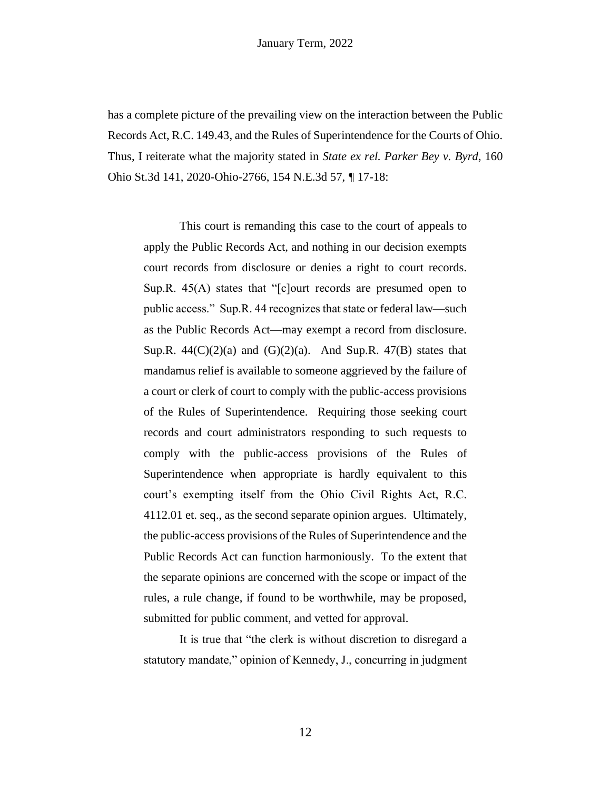has a complete picture of the prevailing view on the interaction between the Public Records Act, R.C. 149.43, and the Rules of Superintendence for the Courts of Ohio. Thus, I reiterate what the majority stated in *State ex rel. Parker Bey v. Byrd*, 160 Ohio St.3d 141, 2020-Ohio-2766, 154 N.E.3d 57, *¶* 17-18:

This court is remanding this case to the court of appeals to apply the Public Records Act, and nothing in our decision exempts court records from disclosure or denies a right to court records. Sup.R. 45(A) states that "[c]ourt records are presumed open to public access." Sup.R. 44 recognizes that state or federal law—such as the Public Records Act—may exempt a record from disclosure. Sup.R.  $44(C)(2)(a)$  and  $(G)(2)(a)$ . And Sup.R.  $47(B)$  states that mandamus relief is available to someone aggrieved by the failure of a court or clerk of court to comply with the public-access provisions of the Rules of Superintendence. Requiring those seeking court records and court administrators responding to such requests to comply with the public-access provisions of the Rules of Superintendence when appropriate is hardly equivalent to this court's exempting itself from the Ohio Civil Rights Act, R.C. 4112.01 et. seq., as the second separate opinion argues. Ultimately, the public-access provisions of the Rules of Superintendence and the Public Records Act can function harmoniously. To the extent that the separate opinions are concerned with the scope or impact of the rules, a rule change, if found to be worthwhile, may be proposed, submitted for public comment, and vetted for approval.

It is true that "the clerk is without discretion to disregard a statutory mandate," opinion of Kennedy, J., concurring in judgment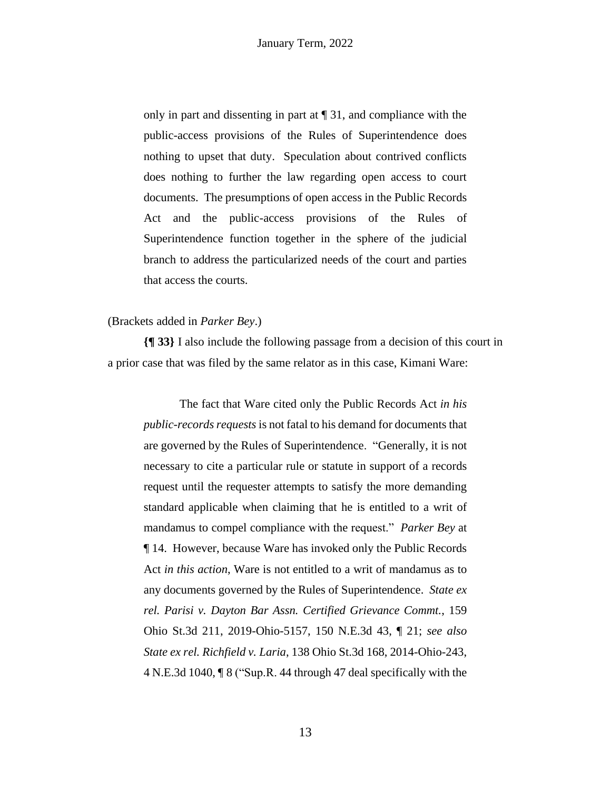only in part and dissenting in part at ¶ 31, and compliance with the public-access provisions of the Rules of Superintendence does nothing to upset that duty. Speculation about contrived conflicts does nothing to further the law regarding open access to court documents. The presumptions of open access in the Public Records Act and the public-access provisions of the Rules of Superintendence function together in the sphere of the judicial branch to address the particularized needs of the court and parties that access the courts.

#### (Brackets added in *Parker Bey*.)

**{¶ 33}** I also include the following passage from a decision of this court in a prior case that was filed by the same relator as in this case, Kimani Ware:

The fact that Ware cited only the Public Records Act *in his public-records requests* is not fatal to his demand for documents that are governed by the Rules of Superintendence. "Generally, it is not necessary to cite a particular rule or statute in support of a records request until the requester attempts to satisfy the more demanding standard applicable when claiming that he is entitled to a writ of mandamus to compel compliance with the request." *Parker Bey* at ¶ 14. However, because Ware has invoked only the Public Records Act *in this action*, Ware is not entitled to a writ of mandamus as to any documents governed by the Rules of Superintendence. *State ex rel. Parisi v. Dayton Bar Assn. Certified Grievance Commt.*, 159 Ohio St.3d 211, 2019-Ohio-5157, 150 N.E.3d 43, ¶ 21; *see also State ex rel. Richfield v. Laria*, 138 Ohio St.3d 168, 2014-Ohio-243, 4 N.E.3d 1040, ¶ 8 ("Sup.R. 44 through 47 deal specifically with the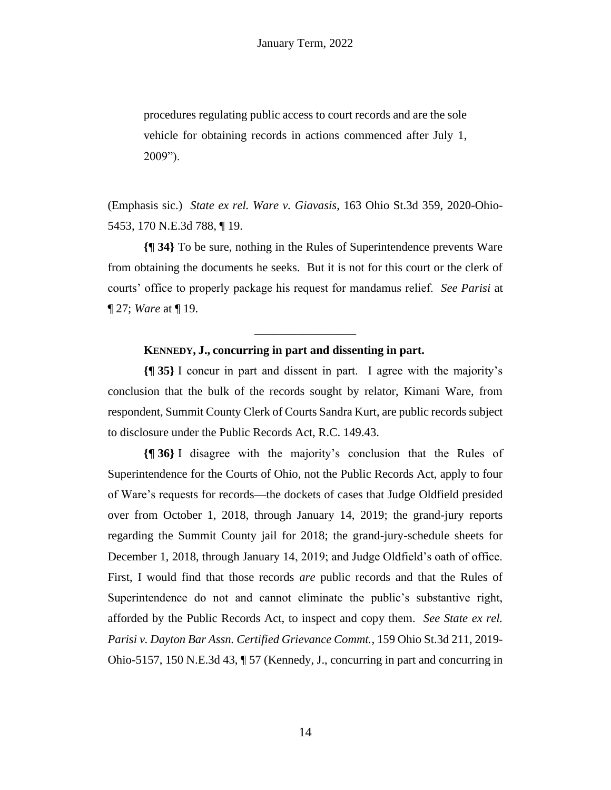procedures regulating public access to court records and are the sole vehicle for obtaining records in actions commenced after July 1, 2009").

(Emphasis sic.) *State ex rel. Ware v. Giavasis*, 163 Ohio St.3d 359, 2020-Ohio-5453, 170 N.E.3d 788, ¶ 19.

**{¶ 34}** To be sure, nothing in the Rules of Superintendence prevents Ware from obtaining the documents he seeks. But it is not for this court or the clerk of courts' office to properly package his request for mandamus relief. *See Parisi* at ¶ 27; *Ware* at ¶ 19.

\_\_\_\_\_\_\_\_\_\_\_\_\_\_\_\_\_

#### **KENNEDY, J., concurring in part and dissenting in part.**

**{¶ 35}** I concur in part and dissent in part. I agree with the majority's conclusion that the bulk of the records sought by relator, Kimani Ware, from respondent, Summit County Clerk of Courts Sandra Kurt, are public records subject to disclosure under the Public Records Act, R.C. 149.43.

**{¶ 36}** I disagree with the majority's conclusion that the Rules of Superintendence for the Courts of Ohio, not the Public Records Act, apply to four of Ware's requests for records—the dockets of cases that Judge Oldfield presided over from October 1, 2018, through January 14, 2019; the grand-jury reports regarding the Summit County jail for 2018; the grand-jury-schedule sheets for December 1, 2018, through January 14, 2019; and Judge Oldfield's oath of office. First, I would find that those records *are* public records and that the Rules of Superintendence do not and cannot eliminate the public's substantive right, afforded by the Public Records Act, to inspect and copy them. *See State ex rel. Parisi v. Dayton Bar Assn. Certified Grievance Commt.*, 159 Ohio St.3d 211, 2019- Ohio-5157, 150 N.E.3d 43,  $\P$  57 (Kennedy, J., concurring in part and concurring in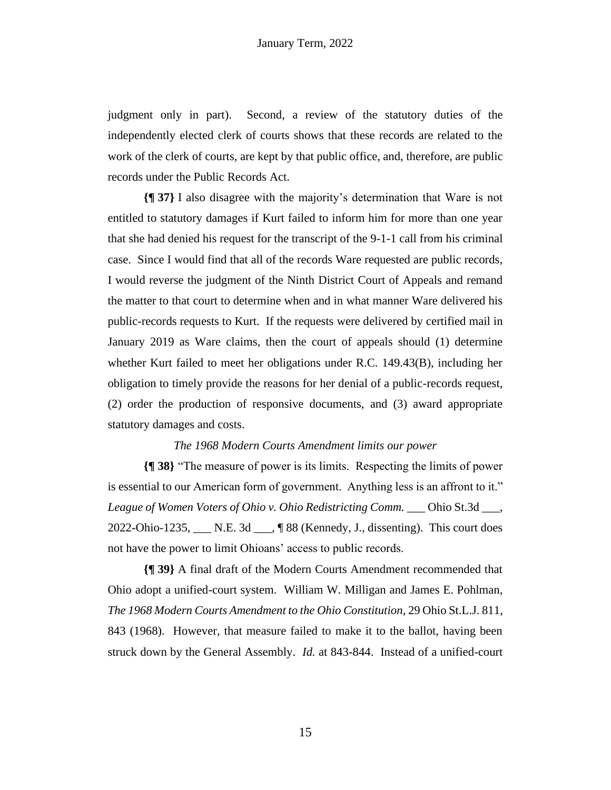judgment only in part). Second, a review of the statutory duties of the independently elected clerk of courts shows that these records are related to the work of the clerk of courts, are kept by that public office, and, therefore, are public records under the Public Records Act.

**{¶ 37}** I also disagree with the majority's determination that Ware is not entitled to statutory damages if Kurt failed to inform him for more than one year that she had denied his request for the transcript of the 9-1-1 call from his criminal case. Since I would find that all of the records Ware requested are public records, I would reverse the judgment of the Ninth District Court of Appeals and remand the matter to that court to determine when and in what manner Ware delivered his public-records requests to Kurt. If the requests were delivered by certified mail in January 2019 as Ware claims, then the court of appeals should (1) determine whether Kurt failed to meet her obligations under R.C. 149.43(B), including her obligation to timely provide the reasons for her denial of a public-records request, (2) order the production of responsive documents, and (3) award appropriate statutory damages and costs.

#### *The 1968 Modern Courts Amendment limits our power*

**{¶ 38}** "The measure of power is its limits. Respecting the limits of power is essential to our American form of government. Anything less is an affront to it." *League of Women Voters of Ohio v. Ohio Redistricting Comm.* \_\_\_ Ohio St.3d \_\_\_, 2022-Ohio-1235, N.E. 3d  $\sqrt{88}$  (Kennedy, J., dissenting). This court does not have the power to limit Ohioans' access to public records.

**{¶ 39}** A final draft of the Modern Courts Amendment recommended that Ohio adopt a unified-court system. William W. Milligan and James E. Pohlman, *The 1968 Modern Courts Amendment to the Ohio Constitution*, 29 Ohio St.L.J. 811, 843 (1968). However, that measure failed to make it to the ballot, having been struck down by the General Assembly. *Id.* at 843-844. Instead of a unified-court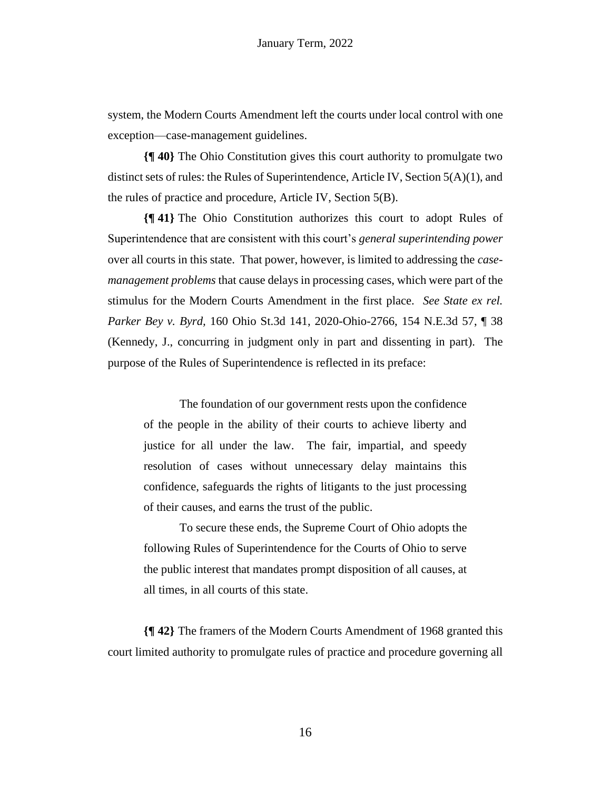system, the Modern Courts Amendment left the courts under local control with one exception—case-management guidelines.

**{¶ 40}** The Ohio Constitution gives this court authority to promulgate two distinct sets of rules: the Rules of Superintendence, Article IV, Section 5(A)(1), and the rules of practice and procedure, Article IV, Section 5(B).

**{¶ 41}** The Ohio Constitution authorizes this court to adopt Rules of Superintendence that are consistent with this court's *general superintending power*  over all courts in this state. That power, however, is limited to addressing the *casemanagement problems* that cause delays in processing cases, which were part of the stimulus for the Modern Courts Amendment in the first place. *See State ex rel. Parker Bey v. Byrd,* 160 Ohio St.3d 141, 2020-Ohio-2766, 154 N.E.3d 57, ¶ 38 (Kennedy, J., concurring in judgment only in part and dissenting in part). The purpose of the Rules of Superintendence is reflected in its preface:

The foundation of our government rests upon the confidence of the people in the ability of their courts to achieve liberty and justice for all under the law. The fair, impartial, and speedy resolution of cases without unnecessary delay maintains this confidence, safeguards the rights of litigants to the just processing of their causes, and earns the trust of the public.

To secure these ends, the Supreme Court of Ohio adopts the following Rules of Superintendence for the Courts of Ohio to serve the public interest that mandates prompt disposition of all causes, at all times, in all courts of this state.

**{¶ 42}** The framers of the Modern Courts Amendment of 1968 granted this court limited authority to promulgate rules of practice and procedure governing all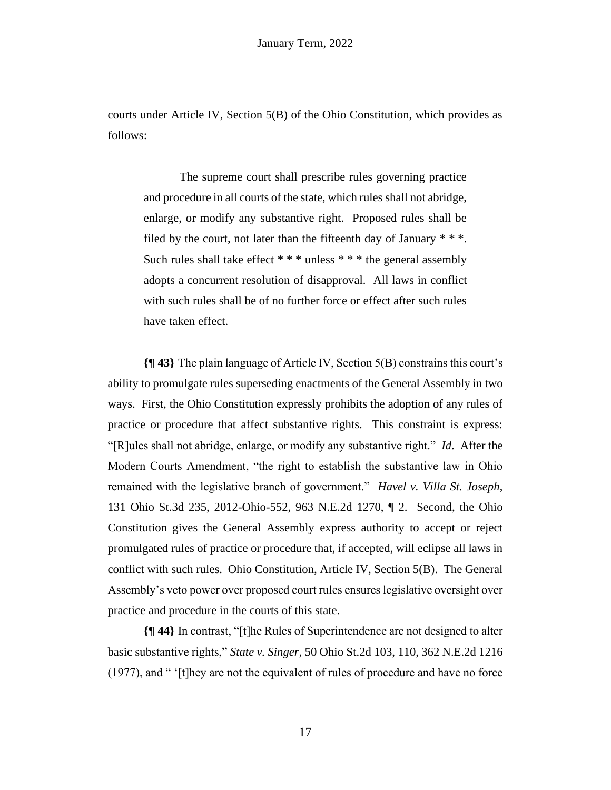courts under Article IV, Section 5(B) of the Ohio Constitution, which provides as follows:

The supreme court shall prescribe rules governing practice and procedure in all courts of the state, which rules shall not abridge, enlarge, or modify any substantive right. Proposed rules shall be filed by the court, not later than the fifteenth day of January  $**$ . Such rules shall take effect  $***$  unless  $***$  the general assembly adopts a concurrent resolution of disapproval. All laws in conflict with such rules shall be of no further force or effect after such rules have taken effect.

**{¶ 43}** The plain language of Article IV, Section 5(B) constrains this court's ability to promulgate rules superseding enactments of the General Assembly in two ways. First, the Ohio Constitution expressly prohibits the adoption of any rules of practice or procedure that affect substantive rights. This constraint is express: "[R]ules shall not abridge, enlarge, or modify any substantive right." *Id*. After the Modern Courts Amendment, "the right to establish the substantive law in Ohio remained with the legislative branch of government." *Havel v. Villa St. Joseph*, 131 Ohio St.3d 235, 2012-Ohio-552, 963 N.E.2d 1270, ¶ 2. Second, the Ohio Constitution gives the General Assembly express authority to accept or reject promulgated rules of practice or procedure that, if accepted, will eclipse all laws in conflict with such rules. Ohio Constitution, Article IV, Section 5(B). The General Assembly's veto power over proposed court rules ensures legislative oversight over practice and procedure in the courts of this state.

**{¶ 44}** In contrast, "[t]he Rules of Superintendence are not designed to alter basic substantive rights," *State v. Singer*, 50 Ohio St.2d 103, 110, 362 N.E.2d 1216 (1977), and " '[t]hey are not the equivalent of rules of procedure and have no force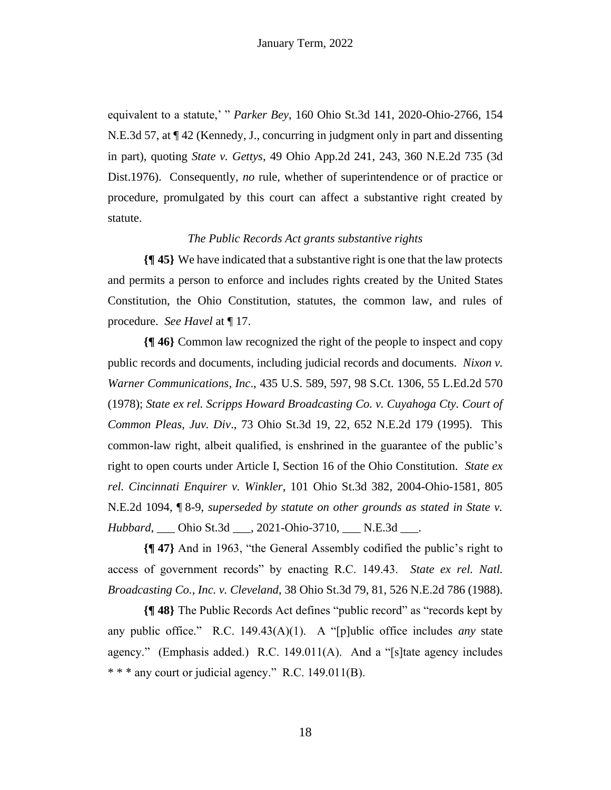equivalent to a statute,' " *Parker Bey*, 160 Ohio St.3d 141, 2020-Ohio-2766, 154 N.E.3d 57, at ¶ 42 (Kennedy, J., concurring in judgment only in part and dissenting in part), quoting *State v. Gettys*, 49 Ohio App.2d 241, 243, 360 N.E.2d 735 (3d Dist.1976). Consequently, *no* rule, whether of superintendence or of practice or procedure, promulgated by this court can affect a substantive right created by statute.

#### *The Public Records Act grants substantive rights*

**{¶ 45}** We have indicated that a substantive right is one that the law protects and permits a person to enforce and includes rights created by the United States Constitution, the Ohio Constitution, statutes, the common law, and rules of procedure. *See Havel* at ¶ 17.

**{¶ 46}** Common law recognized the right of the people to inspect and copy public records and documents, including judicial records and documents. *Nixon v. Warner Communications, Inc*., 435 U.S. 589, 597, 98 S.Ct. 1306, 55 L.Ed.2d 570 (1978); *State ex rel. Scripps Howard Broadcasting Co. v. Cuyahoga Cty. Court of Common Pleas, Juv. Div*., 73 Ohio St.3d 19, 22, 652 N.E.2d 179 (1995). This common-law right, albeit qualified, is enshrined in the guarantee of the public's right to open courts under Article I, Section 16 of the Ohio Constitution. *State ex rel. Cincinnati Enquirer v. Winkler*, 101 Ohio St.3d 382, 2004-Ohio-1581, 805 N.E.2d 1094, ¶ 8-9, *superseded by statute on other grounds as stated in State v. Hubbard*, Ohio St.3d , 2021-Ohio-3710, N.E.3d .

**{¶ 47}** And in 1963, "the General Assembly codified the public's right to access of government records" by enacting R.C. 149.43. *State ex rel. Natl. Broadcasting Co., Inc. v. Cleveland*, 38 Ohio St.3d 79, 81, 526 N.E.2d 786 (1988).

**{¶ 48}** The Public Records Act defines "public record" as "records kept by any public office." R.C. 149.43(A)(1). A "[p]ublic office includes *any* state agency." (Emphasis added.) R.C. 149.011(A). And a "[s]tate agency includes \* \* \* any court or judicial agency." R.C. 149.011(B).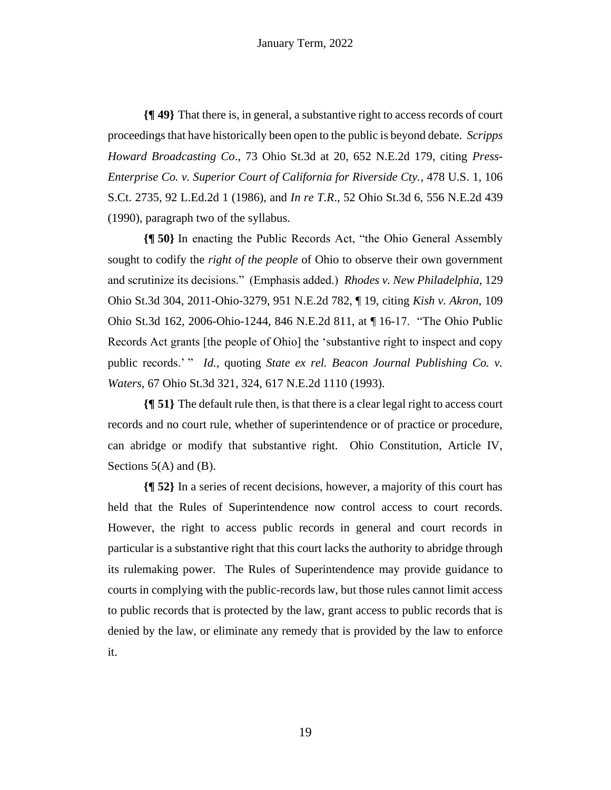**{¶ 49}** That there is, in general, a substantive right to access records of court proceedings that have historically been open to the public is beyond debate. *Scripps Howard Broadcasting Co*., 73 Ohio St.3d at 20, 652 N.E.2d 179, citing *Press-Enterprise Co. v. Superior Court of California for Riverside Cty.*, 478 U.S. 1, 106 S.Ct. 2735, 92 L.Ed.2d 1 (1986), and *In re T.R*., 52 Ohio St.3d 6, 556 N.E.2d 439 (1990), paragraph two of the syllabus.

**{¶ 50}** In enacting the Public Records Act, "the Ohio General Assembly sought to codify the *right of the people* of Ohio to observe their own government and scrutinize its decisions." (Emphasis added.) *Rhodes v. New Philadelphia*, 129 Ohio St.3d 304, 2011-Ohio-3279, 951 N.E.2d 782, ¶ 19, citing *Kish v. Akron,* 109 Ohio St.3d 162, 2006-Ohio-1244, 846 N.E.2d 811, at ¶ 16-17. "The Ohio Public Records Act grants [the people of Ohio] the 'substantive right to inspect and copy public records.' " *Id.*, quoting *State ex rel. Beacon Journal Publishing Co. v. Waters*, 67 Ohio St.3d 321, 324, 617 N.E.2d 1110 (1993).

**{¶ 51}** The default rule then, is that there is a clear legal right to access court records and no court rule, whether of superintendence or of practice or procedure, can abridge or modify that substantive right. Ohio Constitution, Article IV, Sections  $5(A)$  and  $(B)$ .

**{¶ 52}** In a series of recent decisions, however, a majority of this court has held that the Rules of Superintendence now control access to court records. However, the right to access public records in general and court records in particular is a substantive right that this court lacks the authority to abridge through its rulemaking power. The Rules of Superintendence may provide guidance to courts in complying with the public-records law, but those rules cannot limit access to public records that is protected by the law, grant access to public records that is denied by the law, or eliminate any remedy that is provided by the law to enforce it.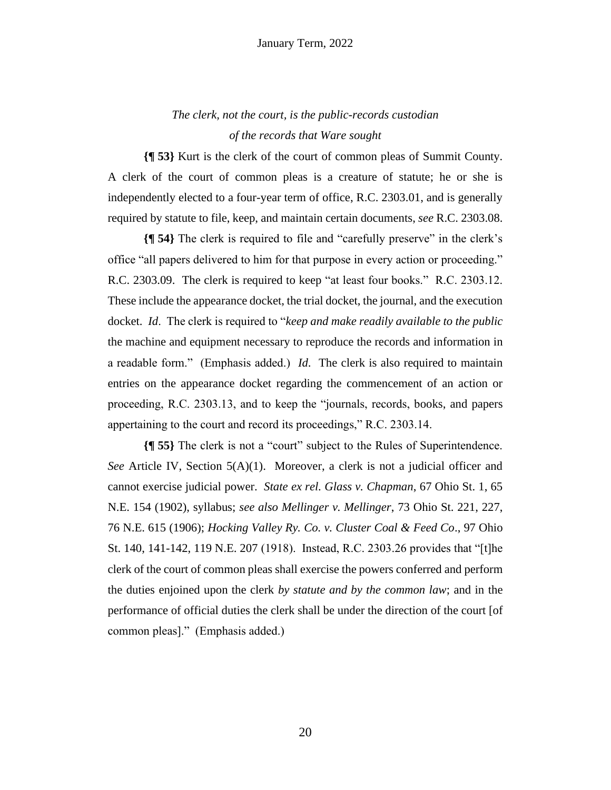*The clerk, not the court, is the public-records custodian of the records that Ware sought*

**{¶ 53}** Kurt is the clerk of the court of common pleas of Summit County. A clerk of the court of common pleas is a creature of statute; he or she is independently elected to a four-year term of office, R.C. 2303.01, and is generally required by statute to file, keep, and maintain certain documents, *see* R.C. 2303.08.

**{¶ 54}** The clerk is required to file and "carefully preserve" in the clerk's office "all papers delivered to him for that purpose in every action or proceeding." R.C. 2303.09. The clerk is required to keep "at least four books." R.C. 2303.12. These include the appearance docket, the trial docket, the journal, and the execution docket. *Id*. The clerk is required to "*keep and make readily available to the public* the machine and equipment necessary to reproduce the records and information in a readable form." (Emphasis added.) *Id*. The clerk is also required to maintain entries on the appearance docket regarding the commencement of an action or proceeding, R.C. 2303.13, and to keep the "journals, records, books, and papers appertaining to the court and record its proceedings," R.C. 2303.14.

**{¶ 55}** The clerk is not a "court" subject to the Rules of Superintendence. *See* Article IV, Section 5(A)(1). Moreover, a clerk is not a judicial officer and cannot exercise judicial power. *State ex rel. Glass v. Chapman*, 67 Ohio St. 1, 65 N.E. 154 (1902), syllabus; *see also Mellinger v. Mellinger*, 73 Ohio St. 221, 227, 76 N.E. 615 (1906); *Hocking Valley Ry. Co. v. Cluster Coal & Feed Co*., 97 Ohio St. 140, 141-142, 119 N.E. 207 (1918). Instead, R.C. 2303.26 provides that "[t]he clerk of the court of common pleas shall exercise the powers conferred and perform the duties enjoined upon the clerk *by statute and by the common law*; and in the performance of official duties the clerk shall be under the direction of the court [of common pleas]." (Emphasis added.)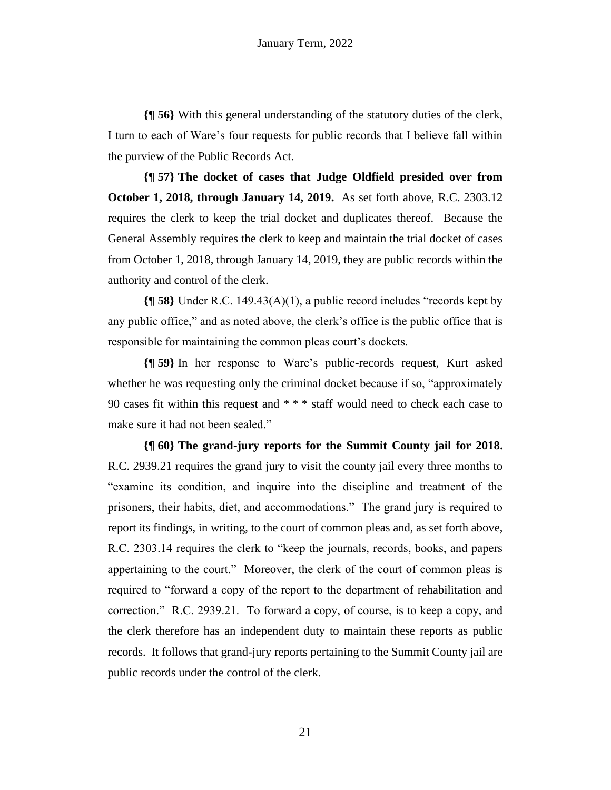**{¶ 56}** With this general understanding of the statutory duties of the clerk, I turn to each of Ware's four requests for public records that I believe fall within the purview of the Public Records Act.

**{¶ 57} The docket of cases that Judge Oldfield presided over from October 1, 2018, through January 14, 2019.** As set forth above, R.C. 2303.12 requires the clerk to keep the trial docket and duplicates thereof. Because the General Assembly requires the clerk to keep and maintain the trial docket of cases from October 1, 2018, through January 14, 2019, they are public records within the authority and control of the clerk.

**{¶ 58}** Under R.C. 149.43(A)(1), a public record includes "records kept by any public office," and as noted above, the clerk's office is the public office that is responsible for maintaining the common pleas court's dockets.

**{¶ 59}** In her response to Ware's public-records request, Kurt asked whether he was requesting only the criminal docket because if so, "approximately 90 cases fit within this request and \* \* \* staff would need to check each case to make sure it had not been sealed."

**{¶ 60} The grand-jury reports for the Summit County jail for 2018.** R.C. 2939.21 requires the grand jury to visit the county jail every three months to "examine its condition, and inquire into the discipline and treatment of the prisoners, their habits, diet, and accommodations." The grand jury is required to report its findings, in writing, to the court of common pleas and, as set forth above, R.C. 2303.14 requires the clerk to "keep the journals, records, books, and papers appertaining to the court." Moreover, the clerk of the court of common pleas is required to "forward a copy of the report to the department of rehabilitation and correction." R.C. 2939.21. To forward a copy, of course, is to keep a copy, and the clerk therefore has an independent duty to maintain these reports as public records. It follows that grand-jury reports pertaining to the Summit County jail are public records under the control of the clerk.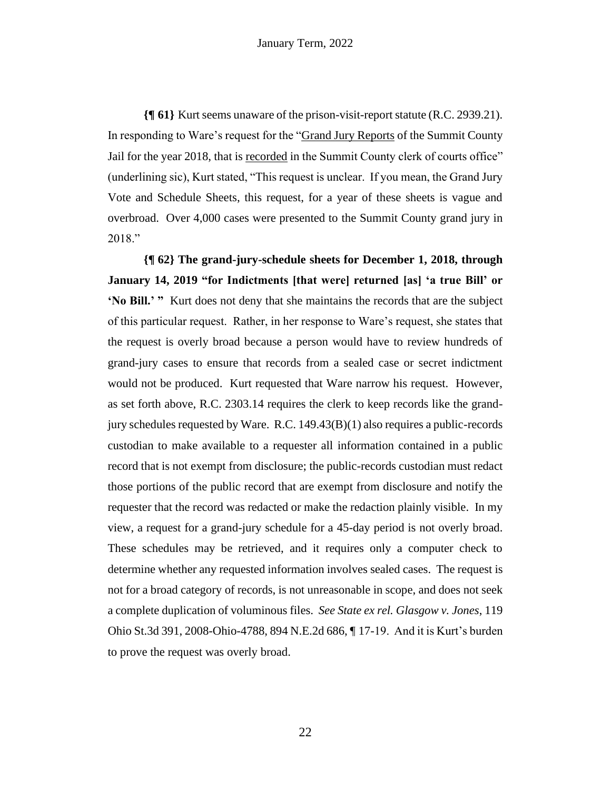**{¶ 61}** Kurt seems unaware of the prison-visit-report statute (R.C. 2939.21). In responding to Ware's request for the "Grand Jury Reports of the Summit County Jail for the year 2018, that is recorded in the Summit County clerk of courts office" (underlining sic), Kurt stated, "This request is unclear. If you mean, the Grand Jury Vote and Schedule Sheets, this request, for a year of these sheets is vague and overbroad. Over 4,000 cases were presented to the Summit County grand jury in 2018."

**{¶ 62} The grand-jury-schedule sheets for December 1, 2018, through January 14, 2019 "for Indictments [that were] returned [as] 'a true Bill' or 'No Bill.' "** Kurt does not deny that she maintains the records that are the subject of this particular request. Rather, in her response to Ware's request, she states that the request is overly broad because a person would have to review hundreds of grand-jury cases to ensure that records from a sealed case or secret indictment would not be produced. Kurt requested that Ware narrow his request. However, as set forth above, R.C. 2303.14 requires the clerk to keep records like the grandjury schedules requested by Ware. R.C. 149.43(B)(1) also requires a public-records custodian to make available to a requester all information contained in a public record that is not exempt from disclosure; the public-records custodian must redact those portions of the public record that are exempt from disclosure and notify the requester that the record was redacted or make the redaction plainly visible. In my view, a request for a grand-jury schedule for a 45-day period is not overly broad. These schedules may be retrieved, and it requires only a computer check to determine whether any requested information involves sealed cases. The request is not for a broad category of records, is not unreasonable in scope, and does not seek a complete duplication of voluminous files. *See State ex rel. Glasgow v. Jones*, 119 Ohio St.3d 391, 2008-Ohio-4788, 894 N.E.2d 686, ¶ 17-19. And it is Kurt's burden to prove the request was overly broad.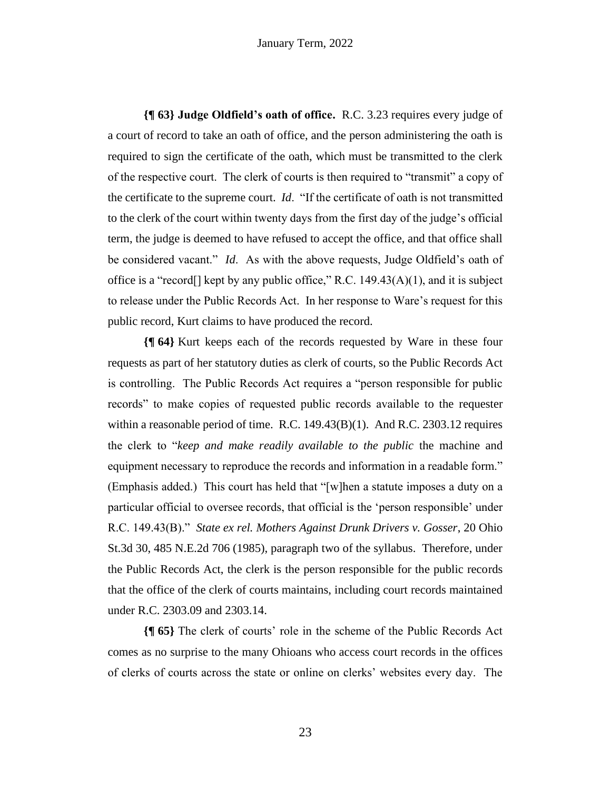**{¶ 63} Judge Oldfield's oath of office.** R.C. 3.23 requires every judge of a court of record to take an oath of office, and the person administering the oath is required to sign the certificate of the oath, which must be transmitted to the clerk of the respective court. The clerk of courts is then required to "transmit" a copy of the certificate to the supreme court. *Id*. "If the certificate of oath is not transmitted to the clerk of the court within twenty days from the first day of the judge's official term, the judge is deemed to have refused to accept the office, and that office shall be considered vacant." *Id*. As with the above requests, Judge Oldfield's oath of office is a "record<sup>[]</sup> kept by any public office," R.C.  $149.43(A)(1)$ , and it is subject to release under the Public Records Act. In her response to Ware's request for this public record, Kurt claims to have produced the record.

**{¶ 64}** Kurt keeps each of the records requested by Ware in these four requests as part of her statutory duties as clerk of courts, so the Public Records Act is controlling. The Public Records Act requires a "person responsible for public records" to make copies of requested public records available to the requester within a reasonable period of time. R.C. 149.43(B)(1). And R.C. 2303.12 requires the clerk to "*keep and make readily available to the public* the machine and equipment necessary to reproduce the records and information in a readable form." (Emphasis added.) This court has held that "[w]hen a statute imposes a duty on a particular official to oversee records, that official is the 'person responsible' under R.C. 149.43(B)." *State ex rel. Mothers Against Drunk Drivers v. Gosser*, 20 Ohio St.3d 30, 485 N.E.2d 706 (1985), paragraph two of the syllabus. Therefore, under the Public Records Act, the clerk is the person responsible for the public records that the office of the clerk of courts maintains, including court records maintained under R.C. 2303.09 and 2303.14.

**{¶ 65}** The clerk of courts' role in the scheme of the Public Records Act comes as no surprise to the many Ohioans who access court records in the offices of clerks of courts across the state or online on clerks' websites every day. The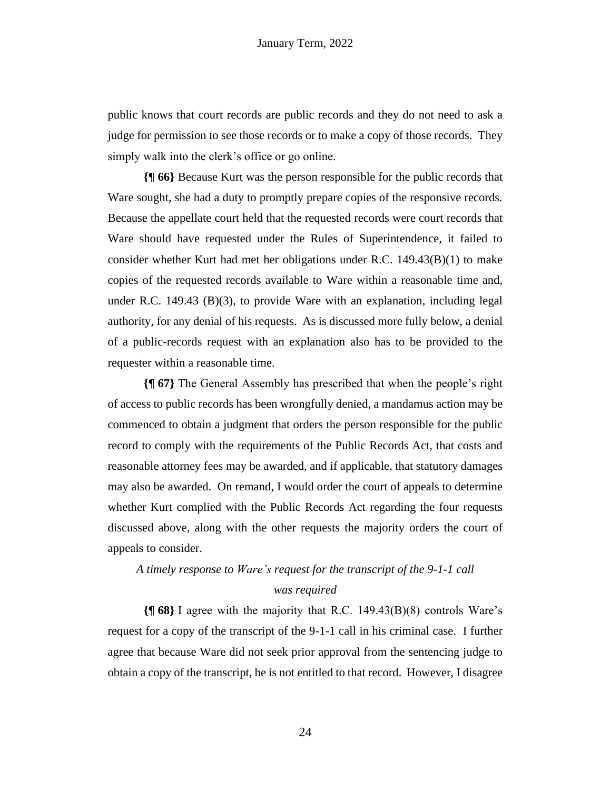public knows that court records are public records and they do not need to ask a judge for permission to see those records or to make a copy of those records. They simply walk into the clerk's office or go online.

**{¶ 66}** Because Kurt was the person responsible for the public records that Ware sought, she had a duty to promptly prepare copies of the responsive records. Because the appellate court held that the requested records were court records that Ware should have requested under the Rules of Superintendence, it failed to consider whether Kurt had met her obligations under R.C. 149.43(B)(1) to make copies of the requested records available to Ware within a reasonable time and, under R.C. 149.43 (B)(3), to provide Ware with an explanation, including legal authority, for any denial of his requests. As is discussed more fully below, a denial of a public-records request with an explanation also has to be provided to the requester within a reasonable time.

**{¶ 67}** The General Assembly has prescribed that when the people's right of access to public records has been wrongfully denied, a mandamus action may be commenced to obtain a judgment that orders the person responsible for the public record to comply with the requirements of the Public Records Act, that costs and reasonable attorney fees may be awarded, and if applicable, that statutory damages may also be awarded. On remand, I would order the court of appeals to determine whether Kurt complied with the Public Records Act regarding the four requests discussed above, along with the other requests the majority orders the court of appeals to consider.

# *A timely response to Ware's request for the transcript of the 9-1-1 call*

#### *was required*

**{¶ 68}** I agree with the majority that R.C. 149.43(B)(8) controls Ware's request for a copy of the transcript of the 9-1-1 call in his criminal case. I further agree that because Ware did not seek prior approval from the sentencing judge to obtain a copy of the transcript, he is not entitled to that record. However, I disagree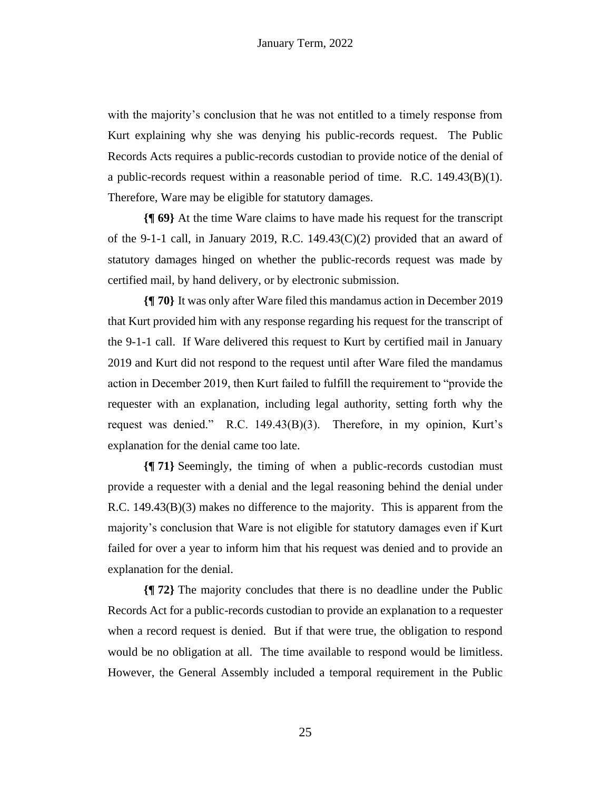with the majority's conclusion that he was not entitled to a timely response from Kurt explaining why she was denying his public-records request. The Public Records Acts requires a public-records custodian to provide notice of the denial of a public-records request within a reasonable period of time. R.C.  $149.43(B)(1)$ . Therefore, Ware may be eligible for statutory damages.

**{¶ 69}** At the time Ware claims to have made his request for the transcript of the 9-1-1 call, in January 2019, R.C. 149.43 $(C)(2)$  provided that an award of statutory damages hinged on whether the public-records request was made by certified mail, by hand delivery, or by electronic submission.

**{¶ 70}** It was only after Ware filed this mandamus action in December 2019 that Kurt provided him with any response regarding his request for the transcript of the 9-1-1 call. If Ware delivered this request to Kurt by certified mail in January 2019 and Kurt did not respond to the request until after Ware filed the mandamus action in December 2019, then Kurt failed to fulfill the requirement to "provide the requester with an explanation, including legal authority, setting forth why the request was denied." R.C. 149.43(B)(3). Therefore, in my opinion, Kurt's explanation for the denial came too late.

**{¶ 71}** Seemingly, the timing of when a public-records custodian must provide a requester with a denial and the legal reasoning behind the denial under R.C. 149.43(B)(3) makes no difference to the majority. This is apparent from the majority's conclusion that Ware is not eligible for statutory damages even if Kurt failed for over a year to inform him that his request was denied and to provide an explanation for the denial.

**{¶ 72}** The majority concludes that there is no deadline under the Public Records Act for a public-records custodian to provide an explanation to a requester when a record request is denied. But if that were true, the obligation to respond would be no obligation at all. The time available to respond would be limitless. However, the General Assembly included a temporal requirement in the Public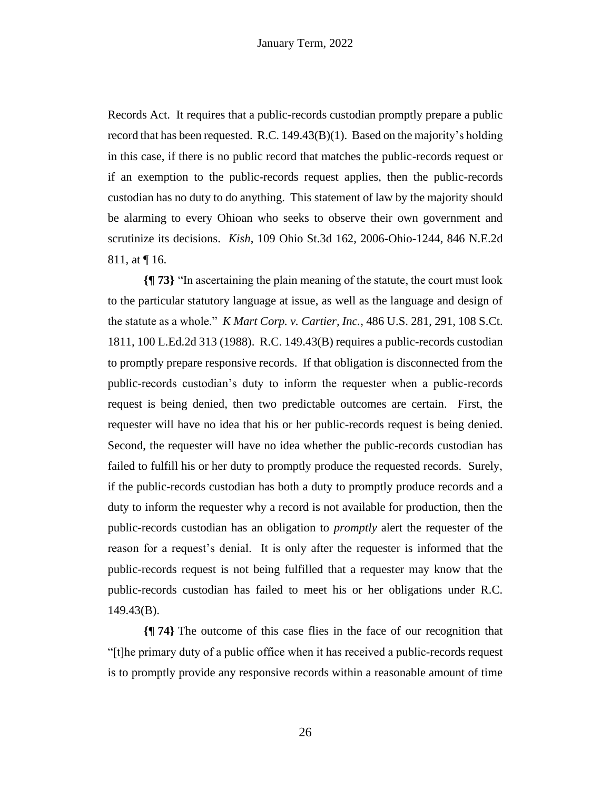Records Act. It requires that a public-records custodian promptly prepare a public record that has been requested. R.C.  $149.43(B)(1)$ . Based on the majority's holding in this case, if there is no public record that matches the public-records request or if an exemption to the public-records request applies, then the public-records custodian has no duty to do anything. This statement of law by the majority should be alarming to every Ohioan who seeks to observe their own government and scrutinize its decisions. *Kish*, 109 Ohio St.3d 162, 2006-Ohio-1244, 846 N.E.2d 811, at ¶ 16.

**{¶ 73}** "In ascertaining the plain meaning of the statute, the court must look to the particular statutory language at issue, as well as the language and design of the statute as a whole." *K Mart Corp. v. Cartier, Inc.*, 486 U.S. 281, 291, 108 S.Ct. 1811, 100 L.Ed.2d 313 (1988). R.C. 149.43(B) requires a public-records custodian to promptly prepare responsive records. If that obligation is disconnected from the public-records custodian's duty to inform the requester when a public-records request is being denied, then two predictable outcomes are certain. First, the requester will have no idea that his or her public-records request is being denied. Second, the requester will have no idea whether the public-records custodian has failed to fulfill his or her duty to promptly produce the requested records. Surely, if the public-records custodian has both a duty to promptly produce records and a duty to inform the requester why a record is not available for production, then the public-records custodian has an obligation to *promptly* alert the requester of the reason for a request's denial. It is only after the requester is informed that the public-records request is not being fulfilled that a requester may know that the public-records custodian has failed to meet his or her obligations under R.C. 149.43(B).

**{¶ 74}** The outcome of this case flies in the face of our recognition that "[t]he primary duty of a public office when it has received a public-records request is to promptly provide any responsive records within a reasonable amount of time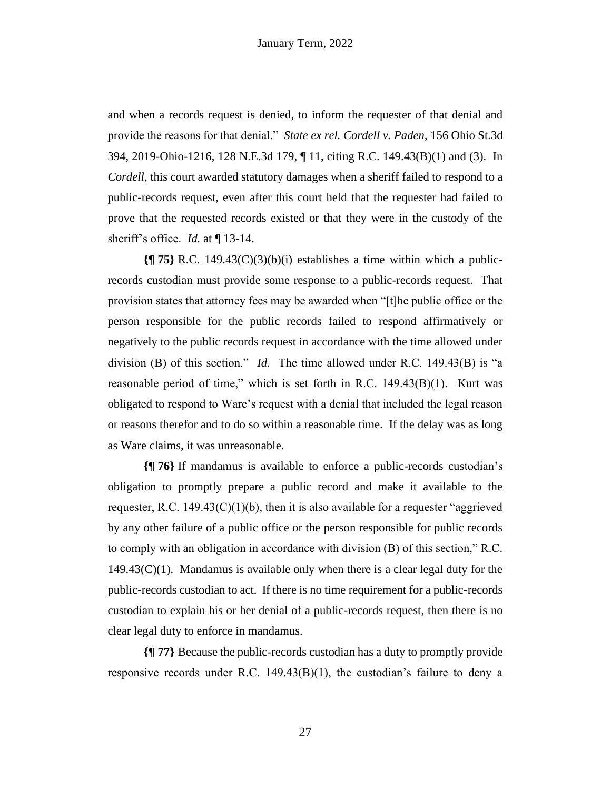and when a records request is denied, to inform the requester of that denial and provide the reasons for that denial." *State ex rel. Cordell v. Paden*, 156 Ohio St.3d 394, 2019-Ohio-1216, 128 N.E.3d 179, ¶ 11, citing R.C. 149.43(B)(1) and (3). In *Cordell*, this court awarded statutory damages when a sheriff failed to respond to a public-records request, even after this court held that the requester had failed to prove that the requested records existed or that they were in the custody of the sheriff's office. *Id.* at ¶ 13-14.

**{¶ 75}** R.C. 149.43(C)(3)(b)(i) establishes a time within which a publicrecords custodian must provide some response to a public-records request. That provision states that attorney fees may be awarded when "[t]he public office or the person responsible for the public records failed to respond affirmatively or negatively to the public records request in accordance with the time allowed under division (B) of this section." *Id.* The time allowed under R.C. 149.43(B) is "a reasonable period of time," which is set forth in R.C. 149.43(B)(1). Kurt was obligated to respond to Ware's request with a denial that included the legal reason or reasons therefor and to do so within a reasonable time. If the delay was as long as Ware claims, it was unreasonable.

**{¶ 76}** If mandamus is available to enforce a public-records custodian's obligation to promptly prepare a public record and make it available to the requester, R.C. 149.43 $(C)(1)(b)$ , then it is also available for a requester "aggrieved by any other failure of a public office or the person responsible for public records to comply with an obligation in accordance with division (B) of this section," R.C.  $149.43(C)(1)$ . Mandamus is available only when there is a clear legal duty for the public-records custodian to act. If there is no time requirement for a public-records custodian to explain his or her denial of a public-records request, then there is no clear legal duty to enforce in mandamus.

**{¶ 77}** Because the public-records custodian has a duty to promptly provide responsive records under R.C. 149.43(B)(1), the custodian's failure to deny a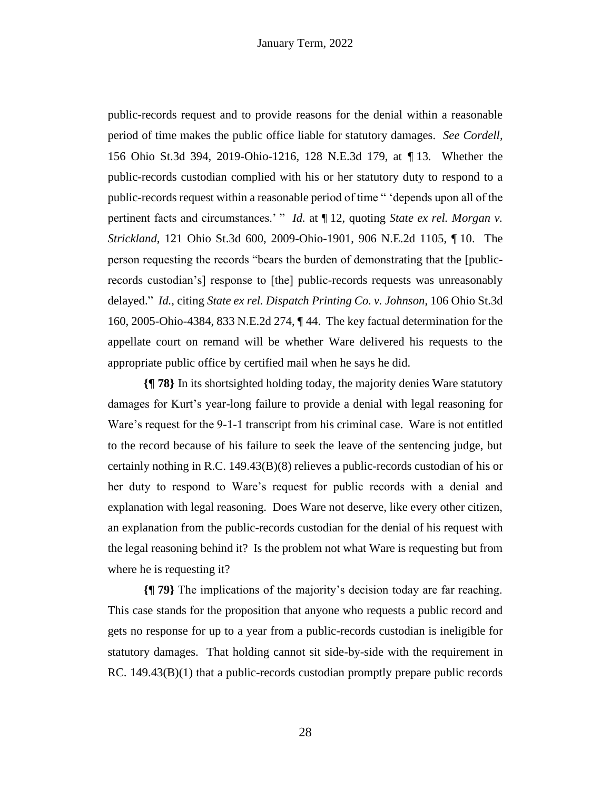public-records request and to provide reasons for the denial within a reasonable period of time makes the public office liable for statutory damages. *See Cordell,*  156 Ohio St.3d 394, 2019-Ohio-1216, 128 N.E.3d 179, at *¶* 13*.* Whether the public-records custodian complied with his or her statutory duty to respond to a public-records request within a reasonable period of time " 'depends upon all of the pertinent facts and circumstances.' " *Id.* at ¶ 12, quoting *State ex rel. Morgan v. Strickland*, 121 Ohio St.3d 600, 2009-Ohio-1901, 906 N.E.2d 1105, ¶ 10. The person requesting the records "bears the burden of demonstrating that the [publicrecords custodian's] response to [the] public-records requests was unreasonably delayed." *Id.*, citing *State ex rel. Dispatch Printing Co. v. Johnson*, 106 Ohio St.3d 160, 2005-Ohio-4384, 833 N.E.2d 274, ¶ 44. The key factual determination for the appellate court on remand will be whether Ware delivered his requests to the appropriate public office by certified mail when he says he did.

**{¶ 78}** In its shortsighted holding today, the majority denies Ware statutory damages for Kurt's year-long failure to provide a denial with legal reasoning for Ware's request for the 9-1-1 transcript from his criminal case. Ware is not entitled to the record because of his failure to seek the leave of the sentencing judge, but certainly nothing in R.C. 149.43(B)(8) relieves a public-records custodian of his or her duty to respond to Ware's request for public records with a denial and explanation with legal reasoning. Does Ware not deserve, like every other citizen, an explanation from the public-records custodian for the denial of his request with the legal reasoning behind it? Is the problem not what Ware is requesting but from where he is requesting it?

**{¶ 79}** The implications of the majority's decision today are far reaching. This case stands for the proposition that anyone who requests a public record and gets no response for up to a year from a public-records custodian is ineligible for statutory damages. That holding cannot sit side-by-side with the requirement in RC. 149.43(B)(1) that a public-records custodian promptly prepare public records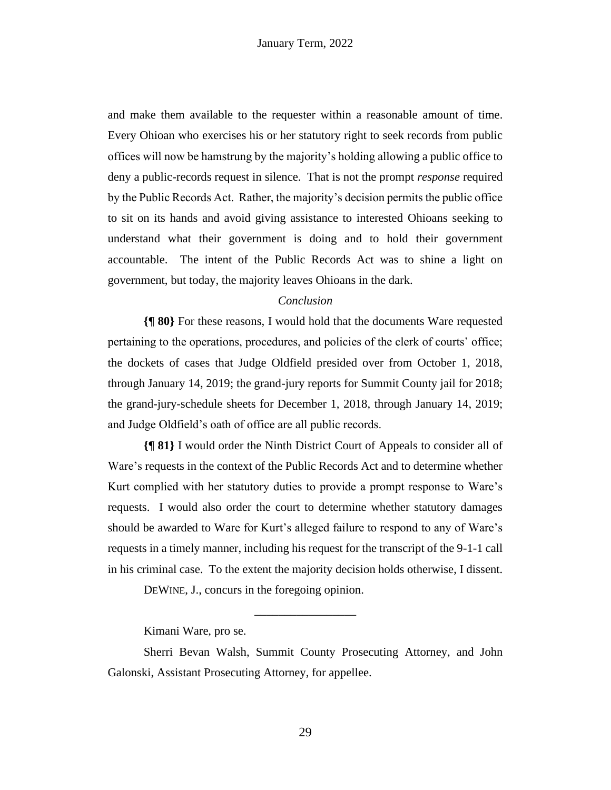and make them available to the requester within a reasonable amount of time. Every Ohioan who exercises his or her statutory right to seek records from public offices will now be hamstrung by the majority's holding allowing a public office to deny a public-records request in silence. That is not the prompt *response* required by the Public Records Act. Rather, the majority's decision permits the public office to sit on its hands and avoid giving assistance to interested Ohioans seeking to understand what their government is doing and to hold their government accountable. The intent of the Public Records Act was to shine a light on government, but today, the majority leaves Ohioans in the dark.

#### *Conclusion*

**{¶ 80}** For these reasons, I would hold that the documents Ware requested pertaining to the operations, procedures, and policies of the clerk of courts' office; the dockets of cases that Judge Oldfield presided over from October 1, 2018, through January 14, 2019; the grand-jury reports for Summit County jail for 2018; the grand-jury-schedule sheets for December 1, 2018, through January 14, 2019; and Judge Oldfield's oath of office are all public records.

**{¶ 81}** I would order the Ninth District Court of Appeals to consider all of Ware's requests in the context of the Public Records Act and to determine whether Kurt complied with her statutory duties to provide a prompt response to Ware's requests. I would also order the court to determine whether statutory damages should be awarded to Ware for Kurt's alleged failure to respond to any of Ware's requests in a timely manner, including his request for the transcript of the 9-1-1 call in his criminal case. To the extent the majority decision holds otherwise, I dissent.

DEWINE, J., concurs in the foregoing opinion.

Kimani Ware, pro se.

\_\_\_\_\_\_\_\_\_\_\_\_\_\_\_\_\_

Sherri Bevan Walsh, Summit County Prosecuting Attorney, and John Galonski, Assistant Prosecuting Attorney, for appellee.